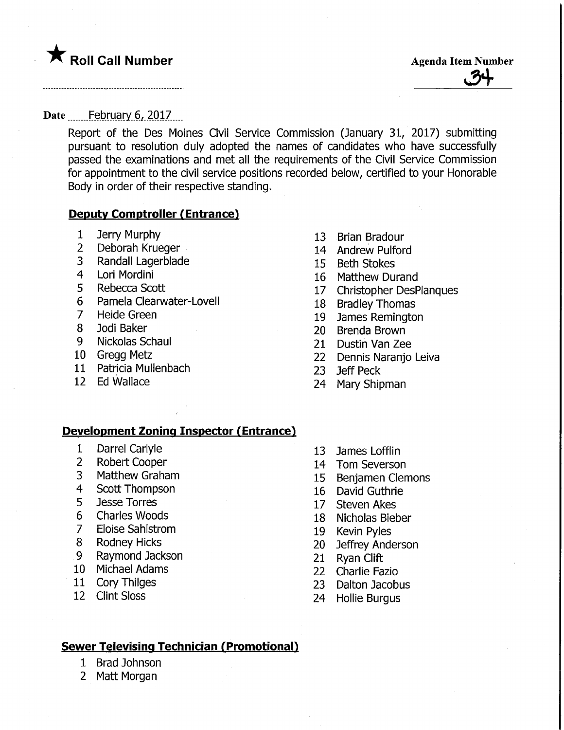# **The Roll Call Number Agents Container Agents Agents Item Number**

J9+

#### Date February 6, 2017

Report of the Des Moines Civil Service Commission (January 31, 2017) submitting pursuant to resolution duly adopted the names of candidates who have successfully passed the examinations and met all the requirements of the Civil Service Commission for appointment to the civil service positions recorded below, certified to your Honorable Body in order of their respective standing.

#### Deputy Comptroller (Entrance)

- Jerry Murphy
- Deborah Krueger
- Randall Lagerblade
- Lori Mordini
- Rebecca Scott
- Pamela Clearwater-Lovell
- Heide Green
- Jodi Baker
- Nickolas Schaul
- Gregg Metz
- Patricia Mullenbach
- Ed Wallace
- Brian Bradour
- Andrew Pulford
- Beth Stokes
- Matthew Durand
- Christopher DesPlanques
- Bradley Thomas
- James Remington
- Brenda Brown
- Dustin Van Zee
- Dennis Naranjo Leiva
- Jeff Peck
- Mary Shipman

#### **Development Zoning Inspector (Entrance)**

- Darrel Carlyle
- Robert Cooper
- Matthew Graham
- Scott Thompson
- Jesse Torres
- Charles Woods
- Eloise Sahlstrom
- Rodney Hicks
- Raymond Jackson
- Michael Adams
- Cory Thilges
- Clint Sloss
- James Lofflin
- Tom Severson
- Benjamen demons
- David Guthrie
- Steven Akes
- Nicholas Bieber
- Kevin Pyles
- Jeffrey Anderson
- Ryan Clift
- Charlie Fazio
- Dalton Jacobus
- Hollie Burgus

#### Sewer Televising Technician (Promotional)

- 1 Brad Johnson
- 2 Matt Morgan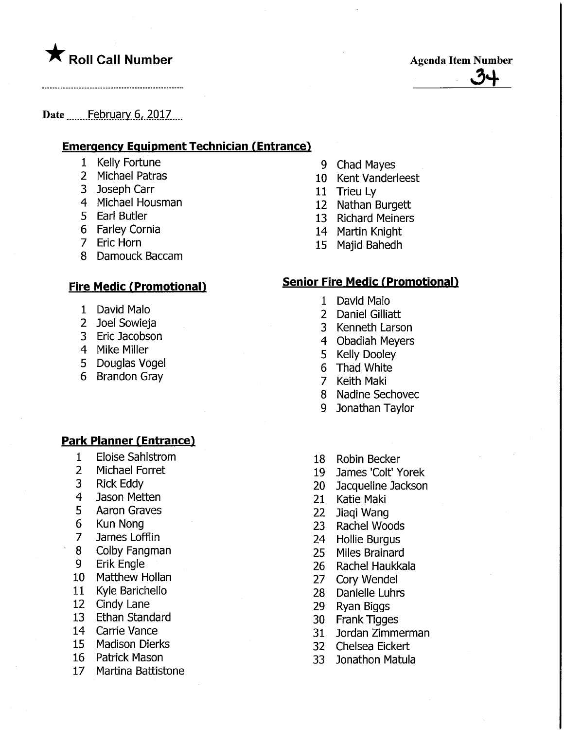# **The Solid Call Number Agents Contained Agents Agenda Item Number**

 $.71$ 

#### Date ........ February 6, 2017....

#### **Emergency Equipment Technician (Entrance)**

- Kelly Fortune
- Michael Patras
- Joseph Carr
- Michael Housman
- Earl Butler
- Farley Cornia
- Eric Horn
- Damouck Baccam

#### <u>Fire Medic (Promotional)</u>

- David Malo
- Joel Sowieja
- Eric Jacobson
- Mike Miller
- Douglas Vogel
- Brandon Gray

#### **Park Planner (Entrance)**

- Eloise Sahlstrom
- Michael Forret
- Rick Eddy
- Jason Metten
- Aaron Graves
- Kun Nong
- James Lofflin
- Colby Fangman
- Erik Engle
- Matthew Hollan
- Kyle Barichello
- Cindy Lane
- Ethan Standard
- Carrie Vance
- Madison Dierks
- Patrick Mason
- Martina Battistone
- Chad Mayes
- Kent Vanderleest
- Trieu Ly
- Nathan Burgett
- Richard Meiners
- Martin Knight
- Majid Bahedh

#### Senior Fire Medic (Promotional)

- David Malo
- Daniel Gilliatt
- Kenneth Larson
- Obadiah Meyers
- Kelly Dooley
- Thad White
- Keith Maki
- Nadine Sechovec
- Jonathan Taylor
- Robin Becker
- James 'Colt' Yorek
- Jacqueline Jackson
- Katie Maki
- Jiaqi Wang
- Rachel Woods
- Hollie Burgus
- Miles Brainard
- Rachel Haukkala
- 27 Cory Wende
- Danielle Luhrs
- Ryan Biggs
- Frank Tigges
- Jordan Zimmerman
- Chelsea Eickert
- Jonathan Matula